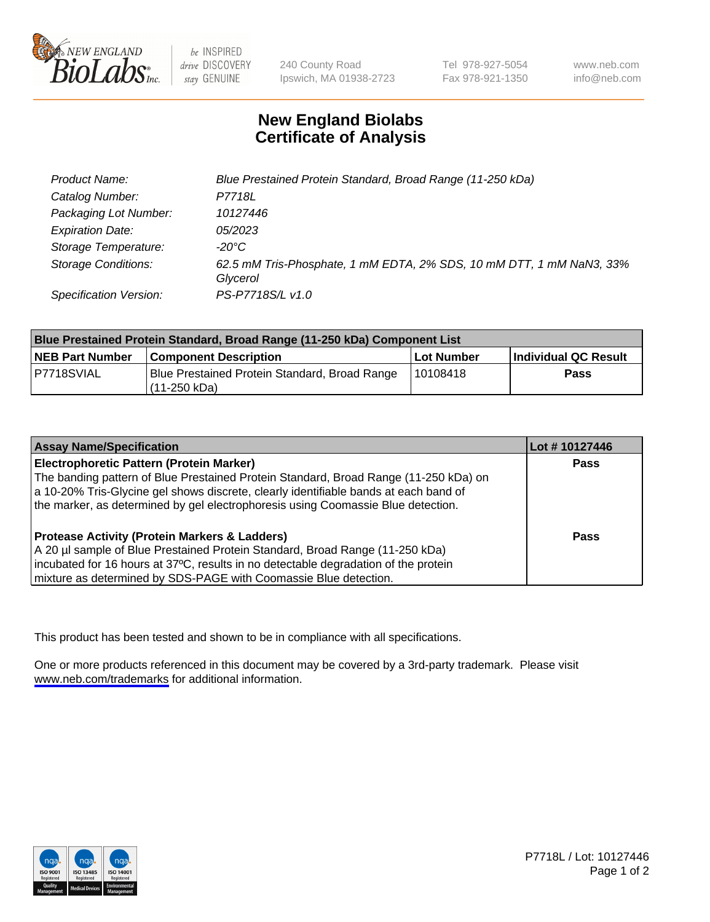

be INSPIRED drive DISCOVERY stay GENUINE

240 County Road Ipswich, MA 01938-2723 Tel 978-927-5054 Fax 978-921-1350

www.neb.com info@neb.com

## **New England Biolabs Certificate of Analysis**

| Product Name:                 | Blue Prestained Protein Standard, Broad Range (11-250 kDa)                       |
|-------------------------------|----------------------------------------------------------------------------------|
| Catalog Number:               | P7718L                                                                           |
| Packaging Lot Number:         | 10127446                                                                         |
| <b>Expiration Date:</b>       | 05/2023                                                                          |
| Storage Temperature:          | -20°C                                                                            |
| <b>Storage Conditions:</b>    | 62.5 mM Tris-Phosphate, 1 mM EDTA, 2% SDS, 10 mM DTT, 1 mM NaN3, 33%<br>Glycerol |
| <b>Specification Version:</b> | PS-P7718S/L v1.0                                                                 |

| <b>Blue Prestained Protein Standard, Broad Range (11-250 kDa) Component List</b> |                                                                 |              |                      |  |
|----------------------------------------------------------------------------------|-----------------------------------------------------------------|--------------|----------------------|--|
| <b>NEB Part Number</b>                                                           | <b>Component Description</b>                                    | l Lot Number | Individual QC Result |  |
| P7718SVIAL                                                                       | Blue Prestained Protein Standard, Broad Range<br>l (11-250 kDa) | 110108418    | <b>Pass</b>          |  |

| <b>Assay Name/Specification</b>                                                      | Lot #10127446 |
|--------------------------------------------------------------------------------------|---------------|
| <b>Electrophoretic Pattern (Protein Marker)</b>                                      | <b>Pass</b>   |
| The banding pattern of Blue Prestained Protein Standard, Broad Range (11-250 kDa) on |               |
| a 10-20% Tris-Glycine gel shows discrete, clearly identifiable bands at each band of |               |
| the marker, as determined by gel electrophoresis using Coomassie Blue detection.     |               |
|                                                                                      |               |
| <b>Protease Activity (Protein Markers &amp; Ladders)</b>                             | <b>Pass</b>   |
| A 20 µl sample of Blue Prestained Protein Standard, Broad Range (11-250 kDa)         |               |
| incubated for 16 hours at 37°C, results in no detectable degradation of the protein  |               |
| mixture as determined by SDS-PAGE with Coomassie Blue detection.                     |               |

This product has been tested and shown to be in compliance with all specifications.

One or more products referenced in this document may be covered by a 3rd-party trademark. Please visit <www.neb.com/trademarks>for additional information.